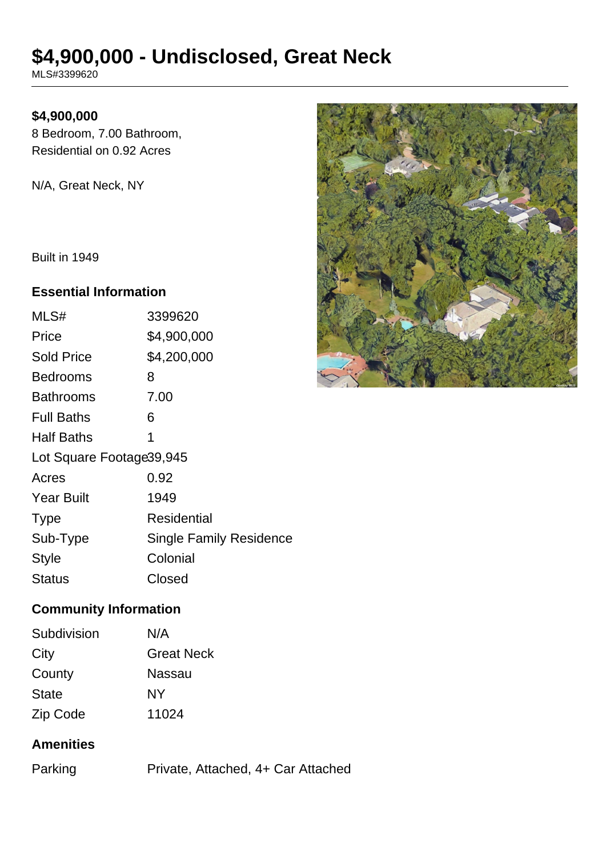# **\$4,900,000 - Undisclosed, Great Neck**

MLS#3399620

## **\$4,900,000**

8 Bedroom, 7.00 Bathroom, Residential on 0.92 Acres

N/A, Great Neck, NY

Built in 1949

#### **Essential Information**

| MLS#                      | 3399620                        |  |
|---------------------------|--------------------------------|--|
| Price                     | \$4,900,000                    |  |
| <b>Sold Price</b>         | \$4,200,000                    |  |
| <b>Bedrooms</b>           | 8                              |  |
| <b>Bathrooms</b>          | 7.00                           |  |
| <b>Full Baths</b>         | 6                              |  |
| <b>Half Baths</b>         | 1                              |  |
| Lot Square Footage 39,945 |                                |  |
| Acres                     | 0.92                           |  |
| <b>Year Built</b>         | 1949                           |  |
| <b>Type</b>               | Residential                    |  |
| Sub-Type                  | <b>Single Family Residence</b> |  |
| <b>Style</b>              | Colonial                       |  |
| Status                    | Closed                         |  |



## **Community Information**

| Subdivision  | N/A               |
|--------------|-------------------|
| City         | <b>Great Neck</b> |
| County       | Nassau            |
| <b>State</b> | NΥ                |
| Zip Code     | 11024             |

## **Amenities**

| Parking | Private, Attached, 4+ Car Attached |
|---------|------------------------------------|
|         |                                    |
|         |                                    |